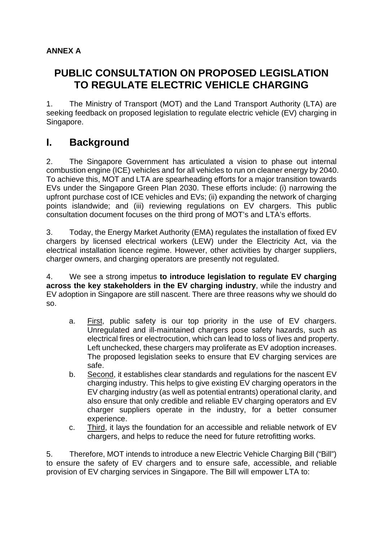## **ANNEX A**

# **PUBLIC CONSULTATION ON PROPOSED LEGISLATION TO REGULATE ELECTRIC VEHICLE CHARGING**

1. The Ministry of Transport (MOT) and the Land Transport Authority (LTA) are seeking feedback on proposed legislation to regulate electric vehicle (EV) charging in Singapore.

# **I. Background**

2. The Singapore Government has articulated a vision to phase out internal combustion engine (ICE) vehicles and for all vehicles to run on cleaner energy by 2040. To achieve this, MOT and LTA are spearheading efforts for a major transition towards EVs under the Singapore Green Plan 2030. These efforts include: (i) narrowing the upfront purchase cost of ICE vehicles and EVs; (ii) expanding the network of charging points islandwide; and (iii) reviewing regulations on EV chargers. This public consultation document focuses on the third prong of MOT's and LTA's efforts.

3. Today, the Energy Market Authority (EMA) regulates the installation of fixed EV chargers by licensed electrical workers (LEW) under the Electricity Act, via the electrical installation licence regime. However, other activities by charger suppliers, charger owners, and charging operators are presently not regulated.

4. We see a strong impetus **to introduce legislation to regulate EV charging across the key stakeholders in the EV charging industry**, while the industry and EV adoption in Singapore are still nascent. There are three reasons why we should do so.

- a. First, public safety is our top priority in the use of EV chargers. Unregulated and ill-maintained chargers pose safety hazards, such as electrical fires or electrocution, which can lead to loss of lives and property. Left unchecked, these chargers may proliferate as EV adoption increases. The proposed legislation seeks to ensure that EV charging services are safe.
- b. Second, it establishes clear standards and regulations for the nascent EV charging industry. This helps to give existing EV charging operators in the EV charging industry (as well as potential entrants) operational clarity, and also ensure that only credible and reliable EV charging operators and EV charger suppliers operate in the industry, for a better consumer experience.
- c. Third, it lays the foundation for an accessible and reliable network of EV chargers, and helps to reduce the need for future retrofitting works.

5. Therefore, MOT intends to introduce a new Electric Vehicle Charging Bill ("Bill") to ensure the safety of EV chargers and to ensure safe, accessible, and reliable provision of EV charging services in Singapore. The Bill will empower LTA to: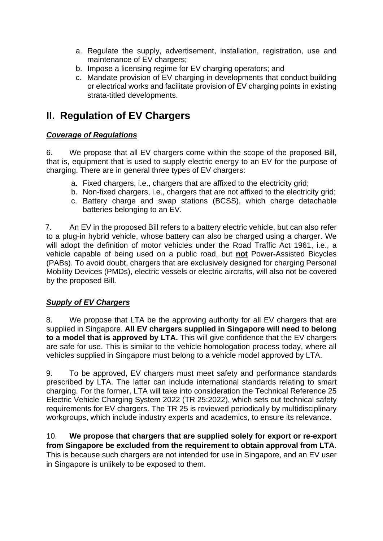- a. Regulate the supply, advertisement, installation, registration, use and maintenance of EV chargers;
- b. Impose a licensing regime for EV charging operators; and
- c. Mandate provision of EV charging in developments that conduct building or electrical works and facilitate provision of EV charging points in existing strata-titled developments.

# **II. Regulation of EV Chargers**

#### *Coverage of Regulations*

6. We propose that all EV chargers come within the scope of the proposed Bill, that is, equipment that is used to supply electric energy to an EV for the purpose of charging. There are in general three types of EV chargers:

- a. Fixed chargers, i.e., chargers that are affixed to the electricity grid;
- b. Non-fixed chargers, i.e., chargers that are not affixed to the electricity grid;
- c. Battery charge and swap stations (BCSS), which charge detachable batteries belonging to an EV.

7. An EV in the proposed Bill refers to a battery electric vehicle, but can also refer to a plug-in hybrid vehicle, whose battery can also be charged using a charger. We will adopt the definition of motor vehicles under the Road Traffic Act 1961, i.e., a vehicle capable of being used on a public road, but **not** Power-Assisted Bicycles (PABs). To avoid doubt, chargers that are exclusively designed for charging Personal Mobility Devices (PMDs), electric vessels or electric aircrafts, will also not be covered by the proposed Bill.

## *Supply of EV Chargers*

8. We propose that LTA be the approving authority for all EV chargers that are supplied in Singapore. **All EV chargers supplied in Singapore will need to belong to a model that is approved by LTA.** This will give confidence that the EV chargers are safe for use. This is similar to the vehicle homologation process today, where all vehicles supplied in Singapore must belong to a vehicle model approved by LTA.

9. To be approved, EV chargers must meet safety and performance standards prescribed by LTA. The latter can include international standards relating to smart charging. For the former, LTA will take into consideration the Technical Reference 25 Electric Vehicle Charging System 2022 (TR 25:2022), which sets out technical safety requirements for EV chargers. The TR 25 is reviewed periodically by multidisciplinary workgroups, which include industry experts and academics, to ensure its relevance.

10. **We propose that chargers that are supplied solely for export or re-export from Singapore be excluded from the requirement to obtain approval from LTA**. This is because such chargers are not intended for use in Singapore, and an EV user in Singapore is unlikely to be exposed to them.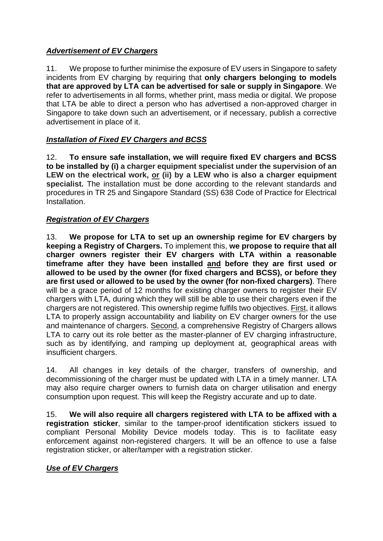## *Advertisement of EV Chargers*

11. We propose to further minimise the exposure of EV users in Singapore to safety incidents from EV charging by requiring that **only chargers belonging to models that are approved by LTA can be advertised for sale or supply in Singapore**. We refer to advertisements in all forms, whether print, mass media or digital. We propose that LTA be able to direct a person who has advertised a non-approved charger in Singapore to take down such an advertisement, or if necessary, publish a corrective advertisement in place of it.

## *Installation of Fixed EV Chargers and BCSS*

12. **To ensure safe installation, we will require fixed EV chargers and BCSS to be installed by (i) a charger equipment specialist under the supervision of an LEW on the electrical work, or (ii) by a LEW who is also a charger equipment specialist.** The installation must be done according to the relevant standards and procedures in TR 25 and Singapore Standard (SS) 638 Code of Practice for Electrical Installation.

#### *Registration of EV Chargers*

13. **We propose for LTA to set up an ownership regime for EV chargers by keeping a Registry of Chargers.** To implement this, **we propose to require that all charger owners register their EV chargers with LTA within a reasonable timeframe after they have been installed and before they are first used or allowed to be used by the owner (for fixed chargers and BCSS), or before they are first used or allowed to be used by the owner (for non-fixed chargers)**. There will be a grace period of 12 months for existing charger owners to register their EV chargers with LTA, during which they will still be able to use their chargers even if the chargers are not registered. This ownership regime fulfils two objectives. First, it allows LTA to properly assign accountability and liability on EV charger owners for the use and maintenance of chargers. Second, a comprehensive Registry of Chargers allows LTA to carry out its role better as the master-planner of EV charging infrastructure, such as by identifying, and ramping up deployment at, geographical areas with insufficient chargers.

14. All changes in key details of the charger, transfers of ownership, and decommissioning of the charger must be updated with LTA in a timely manner. LTA may also require charger owners to furnish data on charger utilisation and energy consumption upon request. This will keep the Registry accurate and up to date.

15. **We will also require all chargers registered with LTA to be affixed with a registration sticker**, similar to the tamper-proof identification stickers issued to compliant Personal Mobility Device models today. This is to facilitate easy enforcement against non-registered chargers. It will be an offence to use a false registration sticker, or alter/tamper with a registration sticker.

#### *Use of EV Chargers*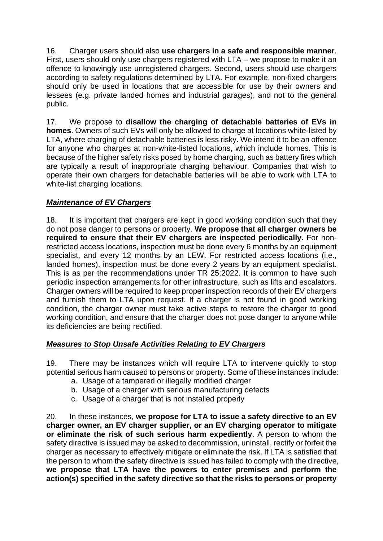16. Charger users should also **use chargers in a safe and responsible manner**. First, users should only use chargers registered with LTA – we propose to make it an offence to knowingly use unregistered chargers. Second, users should use chargers according to safety regulations determined by LTA. For example, non-fixed chargers should only be used in locations that are accessible for use by their owners and lessees (e.g. private landed homes and industrial garages), and not to the general public.

17. We propose to **disallow the charging of detachable batteries of EVs in homes**. Owners of such EVs will only be allowed to charge at locations white-listed by LTA, where charging of detachable batteries is less risky. We intend it to be an offence for anyone who charges at non-white-listed locations, which include homes. This is because of the higher safety risks posed by home charging, such as battery fires which are typically a result of inappropriate charging behaviour. Companies that wish to operate their own chargers for detachable batteries will be able to work with LTA to white-list charging locations.

## *Maintenance of EV Chargers*

18. It is important that chargers are kept in good working condition such that they do not pose danger to persons or property. **We propose that all charger owners be required to ensure that their EV chargers are inspected periodically.** For nonrestricted access locations, inspection must be done every 6 months by an equipment specialist, and every 12 months by an LEW. For restricted access locations (i.e., landed homes), inspection must be done every 2 years by an equipment specialist. This is as per the recommendations under TR 25:2022. It is common to have such periodic inspection arrangements for other infrastructure, such as lifts and escalators. Charger owners will be required to keep proper inspection records of their EV chargers and furnish them to LTA upon request. If a charger is not found in good working condition, the charger owner must take active steps to restore the charger to good working condition, and ensure that the charger does not pose danger to anyone while its deficiencies are being rectified.

#### *Measures to Stop Unsafe Activities Relating to EV Chargers*

19. There may be instances which will require LTA to intervene quickly to stop potential serious harm caused to persons or property. Some of these instances include:

- a. Usage of a tampered or illegally modified charger
- b. Usage of a charger with serious manufacturing defects
- c. Usage of a charger that is not installed properly

20. In these instances, **we propose for LTA to issue a safety directive to an EV charger owner, an EV charger supplier, or an EV charging operator to mitigate or eliminate the risk of such serious harm expediently**. A person to whom the safety directive is issued may be asked to decommission, uninstall, rectify or forfeit the charger as necessary to effectively mitigate or eliminate the risk. If LTA is satisfied that the person to whom the safety directive is issued has failed to comply with the directive, **we propose that LTA have the powers to enter premises and perform the action(s) specified in the safety directive so that the risks to persons or property**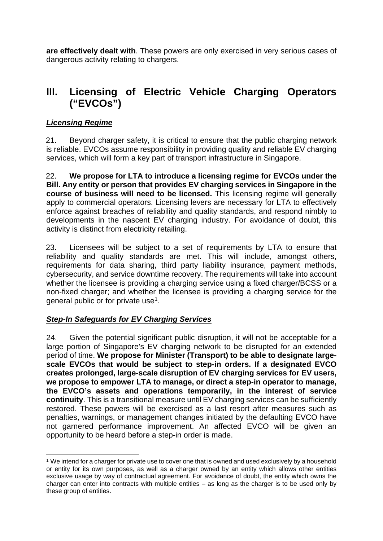**are effectively dealt with**. These powers are only exercised in very serious cases of dangerous activity relating to chargers.

# **III. Licensing of Electric Vehicle Charging Operators ("EVCOs")**

## *Licensing Regime*

21. Beyond charger safety, it is critical to ensure that the public charging network is reliable. EVCOs assume responsibility in providing quality and reliable EV charging services, which will form a key part of transport infrastructure in Singapore.

22. **We propose for LTA to introduce a licensing regime for EVCOs under the Bill. Any entity or person that provides EV charging services in Singapore in the course of business will need to be licensed.** This licensing regime will generally apply to commercial operators. Licensing levers are necessary for LTA to effectively enforce against breaches of reliability and quality standards, and respond nimbly to developments in the nascent EV charging industry. For avoidance of doubt, this activity is distinct from electricity retailing.

23. Licensees will be subject to a set of requirements by LTA to ensure that reliability and quality standards are met. This will include, amongst others, requirements for data sharing, third party liability insurance, payment methods, cybersecurity, and service downtime recovery. The requirements will take into account whether the licensee is providing a charging service using a fixed charger/BCSS or a non-fixed charger; and whether the licensee is providing a charging service for the general public or for private use[1](#page-4-0).

#### *Step-In Safeguards for EV Charging Services*

24. Given the potential significant public disruption, it will not be acceptable for a large portion of Singapore's EV charging network to be disrupted for an extended period of time. **We propose for Minister (Transport) to be able to designate largescale EVCOs that would be subject to step-in orders. If a designated EVCO creates prolonged, large-scale disruption of EV charging services for EV users, we propose to empower LTA to manage, or direct a step-in operator to manage, the EVCO's assets and operations temporarily, in the interest of service continuity**. This is a transitional measure until EV charging services can be sufficiently restored. These powers will be exercised as a last resort after measures such as penalties, warnings, or management changes initiated by the defaulting EVCO have not garnered performance improvement. An affected EVCO will be given an opportunity to be heard before a step-in order is made.

<span id="page-4-0"></span><sup>1</sup> We intend for a charger for private use to cover one that is owned and used exclusively by a household or entity for its own purposes, as well as a charger owned by an entity which allows other entities exclusive usage by way of contractual agreement. For avoidance of doubt, the entity which owns the charger can enter into contracts with multiple entities – as long as the charger is to be used only by these group of entities.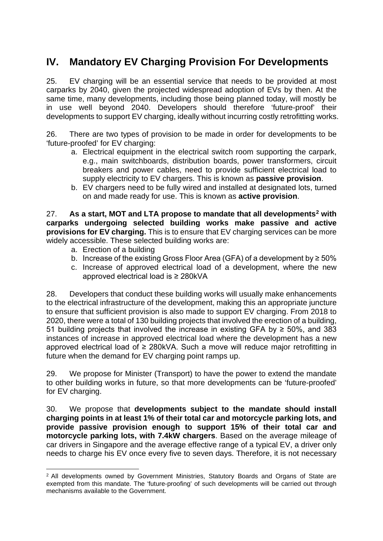# **IV. Mandatory EV Charging Provision For Developments**

25. EV charging will be an essential service that needs to be provided at most carparks by 2040, given the projected widespread adoption of EVs by then. At the same time, many developments, including those being planned today, will mostly be in use well beyond 2040. Developers should therefore 'future-proof' their developments to support EV charging, ideally without incurring costly retrofitting works.

26. There are two types of provision to be made in order for developments to be 'future-proofed' for EV charging:

- a. Electrical equipment in the electrical switch room supporting the carpark, e.g., main switchboards, distribution boards, power transformers, circuit breakers and power cables, need to provide sufficient electrical load to supply electricity to EV chargers. This is known as **passive provision**.
- b. EV chargers need to be fully wired and installed at designated lots, turned on and made ready for use. This is known as **active provision**.

27. **As a start, MOT and LTA propose to mandate that all developments[2](#page-5-0) with carparks undergoing selected building works make passive and active provisions for EV charging.** This is to ensure that EV charging services can be more widely accessible. These selected building works are:

- a. Erection of a building
- b. Increase of the existing Gross Floor Area (GFA) of a development by  $\geq 50\%$
- c. Increase of approved electrical load of a development, where the new approved electrical load is ≥ 280kVA

28. Developers that conduct these building works will usually make enhancements to the electrical infrastructure of the development, making this an appropriate juncture to ensure that sufficient provision is also made to support EV charging. From 2018 to 2020, there were a total of 130 building projects that involved the erection of a building, 51 building projects that involved the increase in existing GFA by ≥ 50%, and 383 instances of increase in approved electrical load where the development has a new approved electrical load of  $\geq$  280kVA. Such a move will reduce major retrofitting in future when the demand for EV charging point ramps up.

29. We propose for Minister (Transport) to have the power to extend the mandate to other building works in future, so that more developments can be 'future-proofed' for EV charging.

30. We propose that **developments subject to the mandate should install charging points in at least 1% of their total car and motorcycle parking lots, and provide passive provision enough to support 15% of their total car and motorcycle parking lots, with 7.4kW chargers**. Based on the average mileage of car drivers in Singapore and the average effective range of a typical EV, a driver only needs to charge his EV once every five to seven days. Therefore, it is not necessary

<span id="page-5-0"></span><sup>&</sup>lt;sup>2</sup> All developments owned by Government Ministries, Statutory Boards and Organs of State are exempted from this mandate. The 'future-proofing' of such developments will be carried out through mechanisms available to the Government.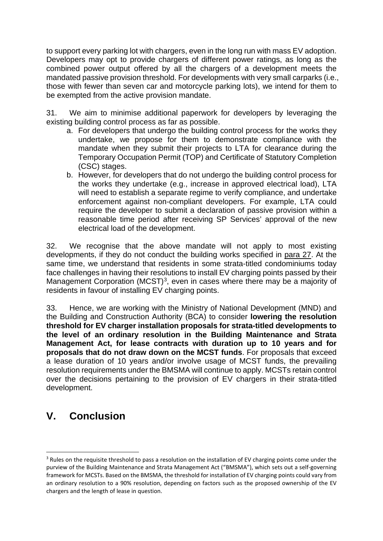to support every parking lot with chargers, even in the long run with mass EV adoption. Developers may opt to provide chargers of different power ratings, as long as the combined power output offered by all the chargers of a development meets the mandated passive provision threshold. For developments with very small carparks (i.e., those with fewer than seven car and motorcycle parking lots), we intend for them to be exempted from the active provision mandate.

31. We aim to minimise additional paperwork for developers by leveraging the existing building control process as far as possible.

- a. For developers that undergo the building control process for the works they undertake, we propose for them to demonstrate compliance with the mandate when they submit their projects to LTA for clearance during the Temporary Occupation Permit (TOP) and Certificate of Statutory Completion (CSC) stages.
- b. However, for developers that do not undergo the building control process for the works they undertake (e.g., increase in approved electrical load), LTA will need to establish a separate regime to verify compliance, and undertake enforcement against non-compliant developers. For example, LTA could require the developer to submit a declaration of passive provision within a reasonable time period after receiving SP Services' approval of the new electrical load of the development.

32. We recognise that the above mandate will not apply to most existing developments, if they do not conduct the building works specified in para 27. At the same time, we understand that residents in some strata-titled condominiums today face challenges in having their resolutions to install EV charging points passed by their Management Corporation (MCST)<sup>[3](#page-6-0)</sup>, even in cases where there may be a majority of residents in favour of installing EV charging points.

33. Hence, we are working with the Ministry of National Development (MND) and the Building and Construction Authority (BCA) to consider **lowering the resolution threshold for EV charger installation proposals for strata-titled developments to the level of an ordinary resolution in the Building Maintenance and Strata Management Act, for lease contracts with duration up to 10 years and for proposals that do not draw down on the MCST funds**. For proposals that exceed a lease duration of 10 years and/or involve usage of MCST funds, the prevailing resolution requirements under the BMSMA will continue to apply. MCSTs retain control over the decisions pertaining to the provision of EV chargers in their strata-titled development.

# **V. Conclusion**

<span id="page-6-0"></span><sup>&</sup>lt;sup>3</sup> Rules on the requisite threshold to pass a resolution on the installation of EV charging points come under the purview of the Building Maintenance and Strata Management Act ("BMSMA"), which sets out a self-governing framework for MCSTs. Based on the BMSMA, the threshold for installation of EV charging points could vary from an ordinary resolution to a 90% resolution, depending on factors such as the proposed ownership of the EV chargers and the length of lease in question.